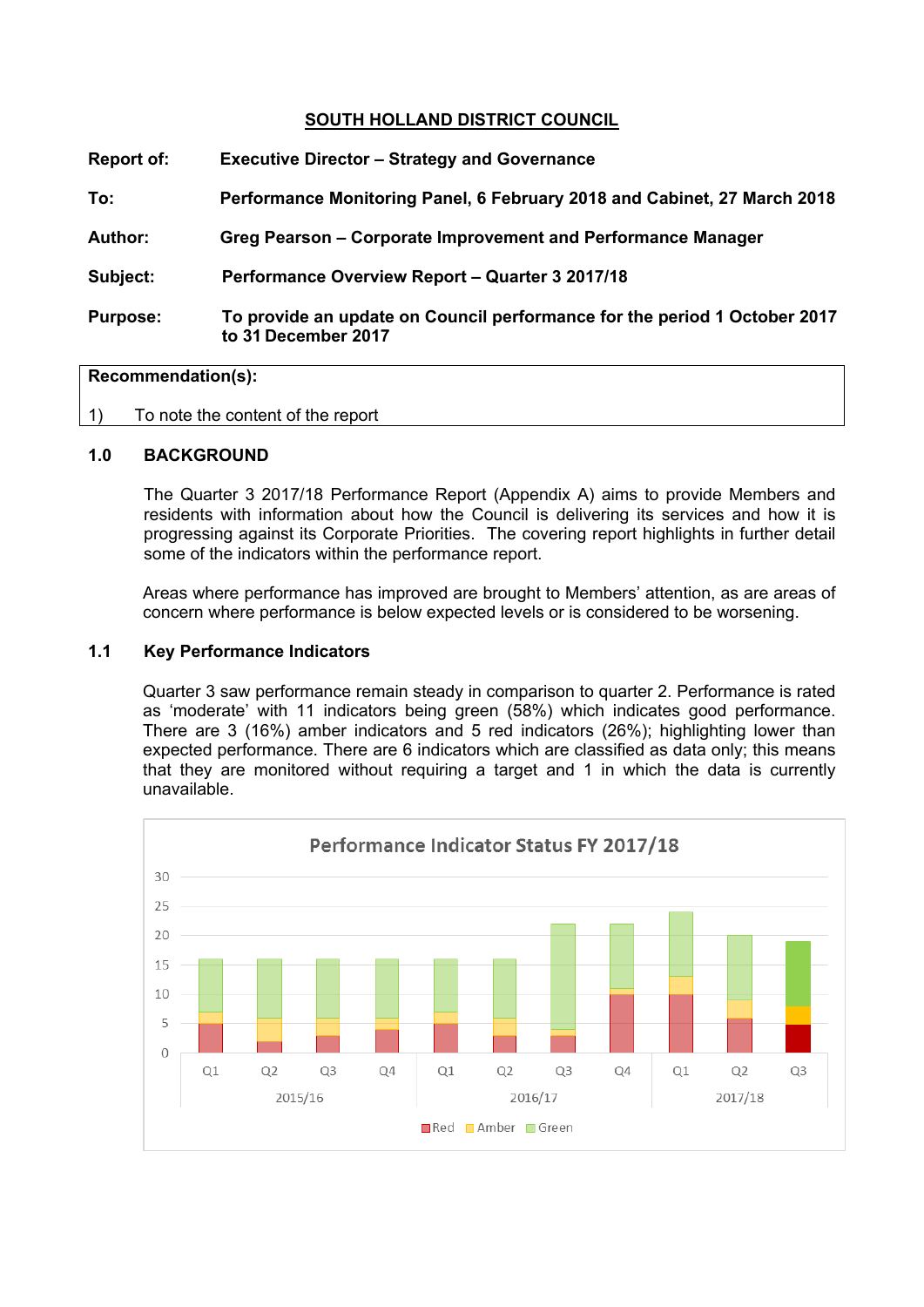## **SOUTH HOLLAND DISTRICT COUNCIL**

| Report of:      | <b>Executive Director – Strategy and Governance</b>                                              |
|-----------------|--------------------------------------------------------------------------------------------------|
| To:             | Performance Monitoring Panel, 6 February 2018 and Cabinet, 27 March 2018                         |
| <b>Author:</b>  | Greg Pearson – Corporate Improvement and Performance Manager                                     |
| Subject:        | Performance Overview Report - Quarter 3 2017/18                                                  |
| <b>Purpose:</b> | To provide an update on Council performance for the period 1 October 2017<br>to 31 December 2017 |

#### **Recommendation(s):**

1) To note the content of the report

#### **1.0 BACKGROUND**

The Quarter 3 2017/18 Performance Report (Appendix A) aims to provide Members and residents with information about how the Council is delivering its services and how it is progressing against its Corporate Priorities. The covering report highlights in further detail some of the indicators within the performance report.

Areas where performance has improved are brought to Members' attention, as are areas of concern where performance is below expected levels or is considered to be worsening.

#### **1.1 Key Performance Indicators**

Quarter 3 saw performance remain steady in comparison to quarter 2. Performance is rated as 'moderate' with 11 indicators being green (58%) which indicates good performance. There are 3 (16%) amber indicators and 5 red indicators (26%); highlighting lower than expected performance. There are 6 indicators which are classified as data only; this means that they are monitored without requiring a target and 1 in which the data is currently unavailable.

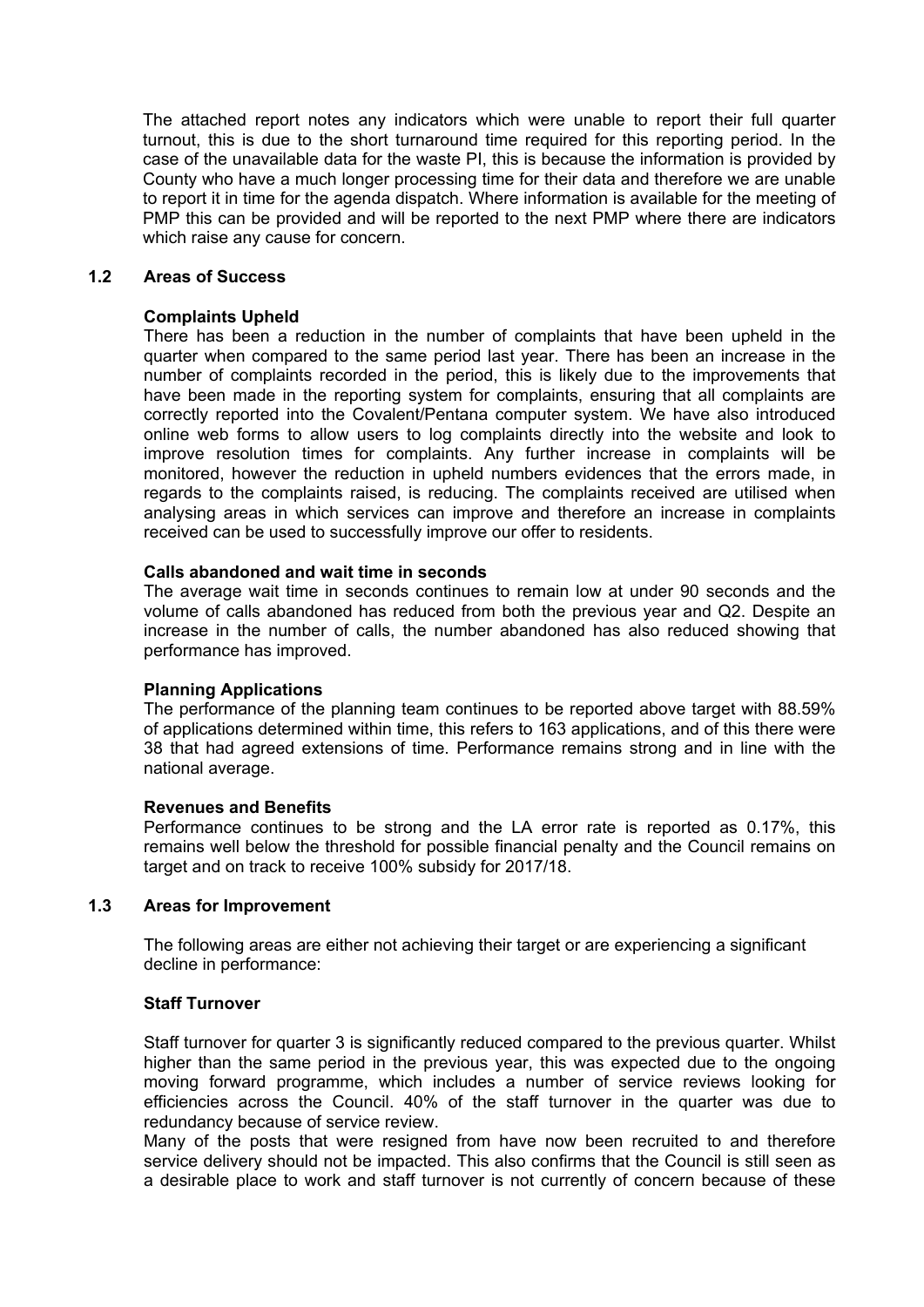The attached report notes any indicators which were unable to report their full quarter turnout, this is due to the short turnaround time required for this reporting period. In the case of the unavailable data for the waste PI, this is because the information is provided by County who have a much longer processing time for their data and therefore we are unable to report it in time for the agenda dispatch. Where information is available for the meeting of PMP this can be provided and will be reported to the next PMP where there are indicators which raise any cause for concern.

#### **1.2 Areas of Success**

#### **Complaints Upheld**

There has been a reduction in the number of complaints that have been upheld in the quarter when compared to the same period last year. There has been an increase in the number of complaints recorded in the period, this is likely due to the improvements that have been made in the reporting system for complaints, ensuring that all complaints are correctly reported into the Covalent/Pentana computer system. We have also introduced online web forms to allow users to log complaints directly into the website and look to improve resolution times for complaints. Any further increase in complaints will be monitored, however the reduction in upheld numbers evidences that the errors made, in regards to the complaints raised, is reducing. The complaints received are utilised when analysing areas in which services can improve and therefore an increase in complaints received can be used to successfully improve our offer to residents.

#### **Calls abandoned and wait time in seconds**

The average wait time in seconds continues to remain low at under 90 seconds and the volume of calls abandoned has reduced from both the previous year and Q2. Despite an increase in the number of calls, the number abandoned has also reduced showing that performance has improved.

#### **Planning Applications**

The performance of the planning team continues to be reported above target with 88.59% of applications determined within time, this refers to 163 applications, and of this there were 38 that had agreed extensions of time. Performance remains strong and in line with the national average.

#### **Revenues and Benefits**

Performance continues to be strong and the LA error rate is reported as 0.17%, this remains well below the threshold for possible financial penalty and the Council remains on target and on track to receive 100% subsidy for 2017/18.

#### **1.3 Areas for Improvement**

The following areas are either not achieving their target or are experiencing a significant decline in performance:

## **Staff Turnover**

Staff turnover for quarter 3 is significantly reduced compared to the previous quarter. Whilst higher than the same period in the previous year, this was expected due to the ongoing moving forward programme, which includes a number of service reviews looking for efficiencies across the Council. 40% of the staff turnover in the quarter was due to redundancy because of service review.

Many of the posts that were resigned from have now been recruited to and therefore service delivery should not be impacted. This also confirms that the Council is still seen as a desirable place to work and staff turnover is not currently of concern because of these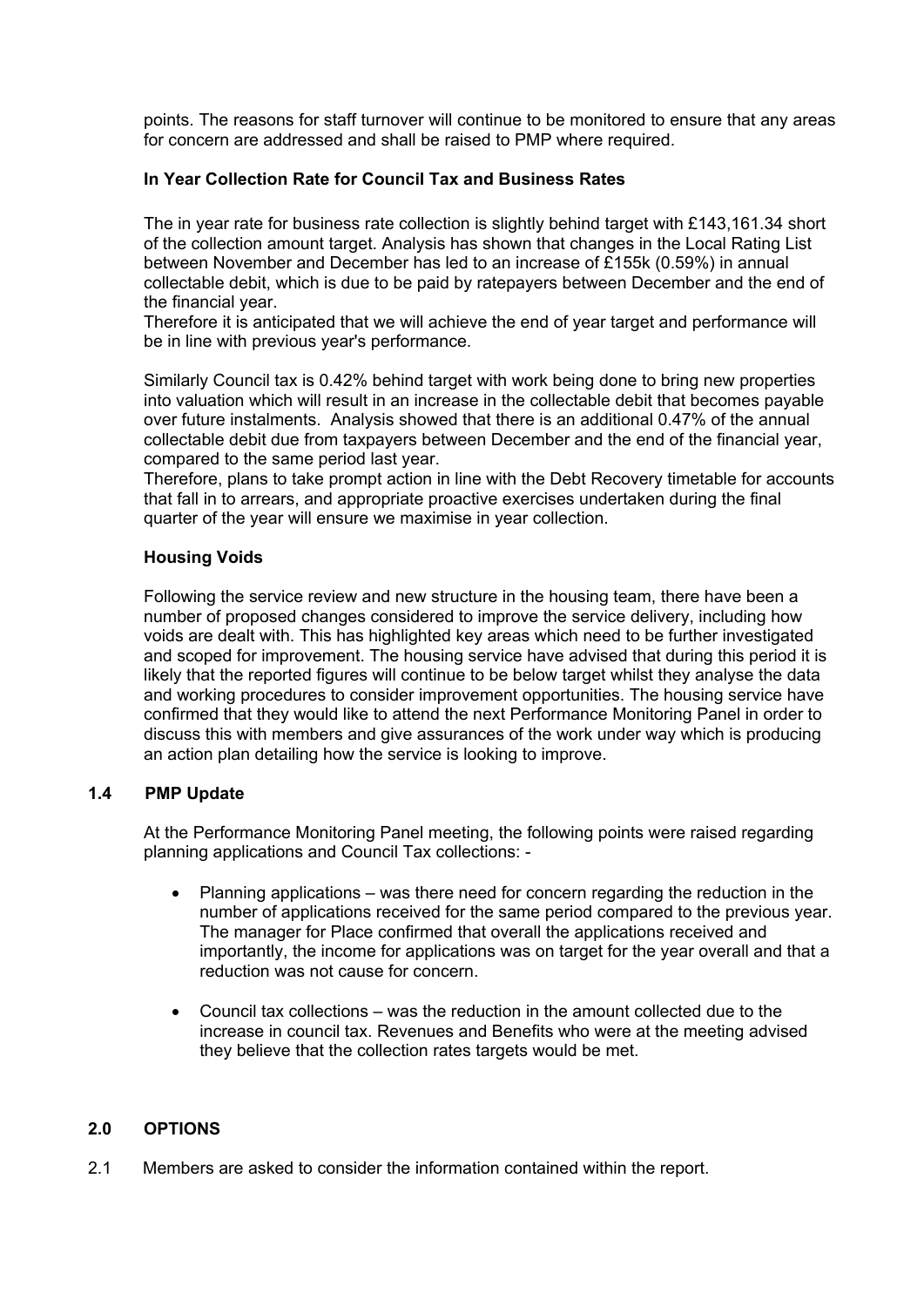points. The reasons for staff turnover will continue to be monitored to ensure that any areas for concern are addressed and shall be raised to PMP where required.

## **In Year Collection Rate for Council Tax and Business Rates**

The in year rate for business rate collection is slightly behind target with £143,161.34 short of the collection amount target. Analysis has shown that changes in the Local Rating List between November and December has led to an increase of £155k (0.59%) in annual collectable debit, which is due to be paid by ratepayers between December and the end of the financial year.

Therefore it is anticipated that we will achieve the end of year target and performance will be in line with previous year's performance.

Similarly Council tax is 0.42% behind target with work being done to bring new properties into valuation which will result in an increase in the collectable debit that becomes payable over future instalments. Analysis showed that there is an additional 0.47% of the annual collectable debit due from taxpayers between December and the end of the financial year, compared to the same period last year.

Therefore, plans to take prompt action in line with the Debt Recovery timetable for accounts that fall in to arrears, and appropriate proactive exercises undertaken during the final quarter of the year will ensure we maximise in year collection.

## **Housing Voids**

Following the service review and new structure in the housing team, there have been a number of proposed changes considered to improve the service delivery, including how voids are dealt with. This has highlighted key areas which need to be further investigated and scoped for improvement. The housing service have advised that during this period it is likely that the reported figures will continue to be below target whilst they analyse the data and working procedures to consider improvement opportunities. The housing service have confirmed that they would like to attend the next Performance Monitoring Panel in order to discuss this with members and give assurances of the work under way which is producing an action plan detailing how the service is looking to improve.

## **1.4 PMP Update**

At the Performance Monitoring Panel meeting, the following points were raised regarding planning applications and Council Tax collections: -

- Planning applications was there need for concern regarding the reduction in the number of applications received for the same period compared to the previous year. The manager for Place confirmed that overall the applications received and importantly, the income for applications was on target for the year overall and that a reduction was not cause for concern.
- Council tax collections was the reduction in the amount collected due to the increase in council tax. Revenues and Benefits who were at the meeting advised they believe that the collection rates targets would be met.

## **2.0 OPTIONS**

2.1 Members are asked to consider the information contained within the report.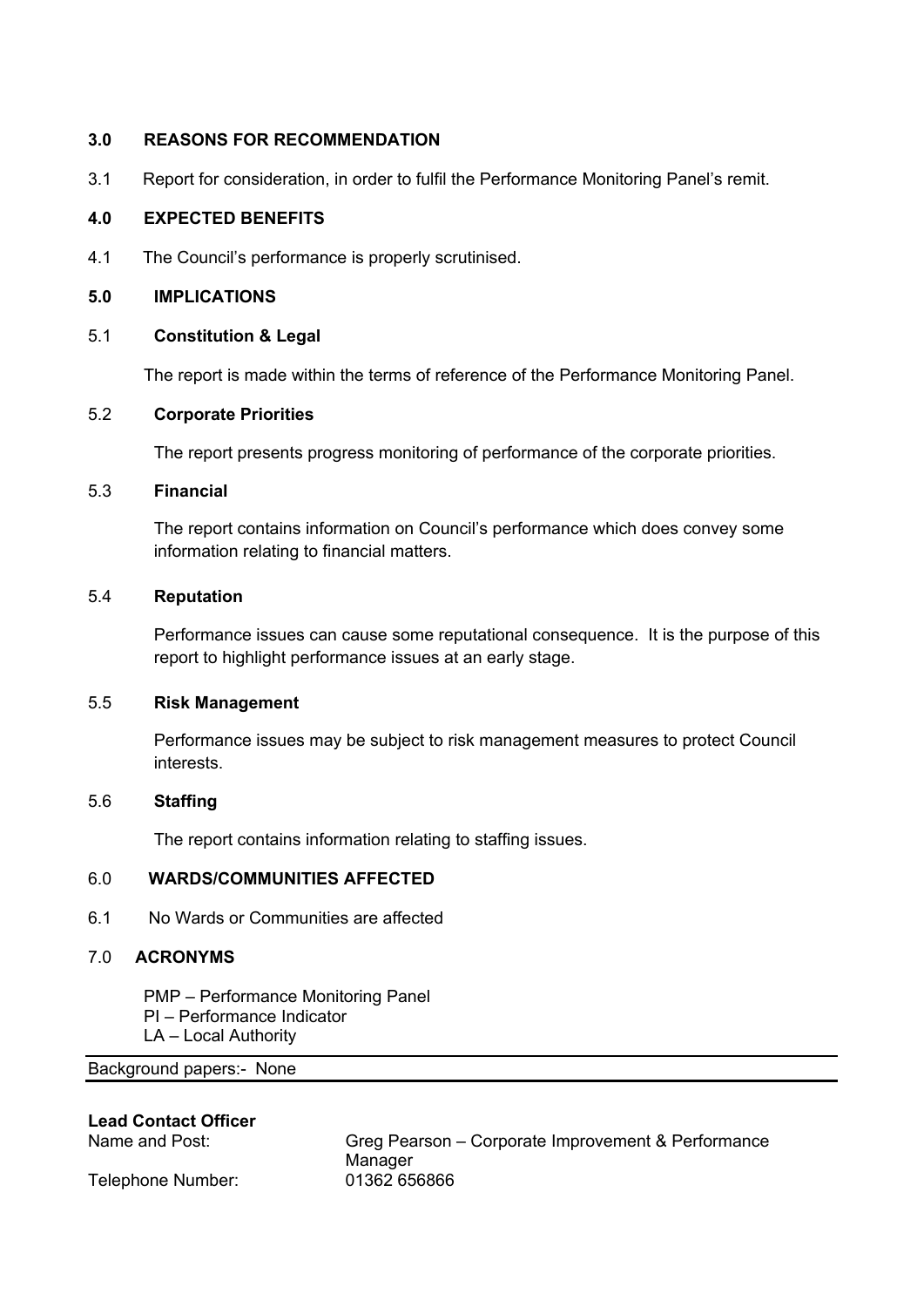## **3.0 REASONS FOR RECOMMENDATION**

3.1 Report for consideration, in order to fulfil the Performance Monitoring Panel's remit.

## **4.0 EXPECTED BENEFITS**

4.1 The Council's performance is properly scrutinised.

## **5.0 IMPLICATIONS**

## 5.1 **Constitution & Legal**

The report is made within the terms of reference of the Performance Monitoring Panel.

## 5.2 **Corporate Priorities**

The report presents progress monitoring of performance of the corporate priorities.

## 5.3 **Financial**

The report contains information on Council's performance which does convey some information relating to financial matters.

#### 5.4 **Reputation**

Performance issues can cause some reputational consequence. It is the purpose of this report to highlight performance issues at an early stage.

## 5.5 **Risk Management**

Performance issues may be subject to risk management measures to protect Council interests.

## 5.6 **Staffing**

The report contains information relating to staffing issues.

## 6.0 **WARDS/COMMUNITIES AFFECTED**

6.1 No Wards or Communities are affected

## 7.0 **ACRONYMS**

PMP – Performance Monitoring Panel PI – Performance Indicator LA – Local Authority

Background papers:- [None](file:///C:/Users/CharlottePaine/Democratic%20Services/Committee/Committee/Report%20Guide/2014/THE%20COMMITTEE%20REPORT%20GUIDE_JUNE%202014.doc)

#### **Lead Contact Officer**

Telephone Number: 01362 656866

Name and Post: Greg Pearson – Corporate Improvement & Performance Manager